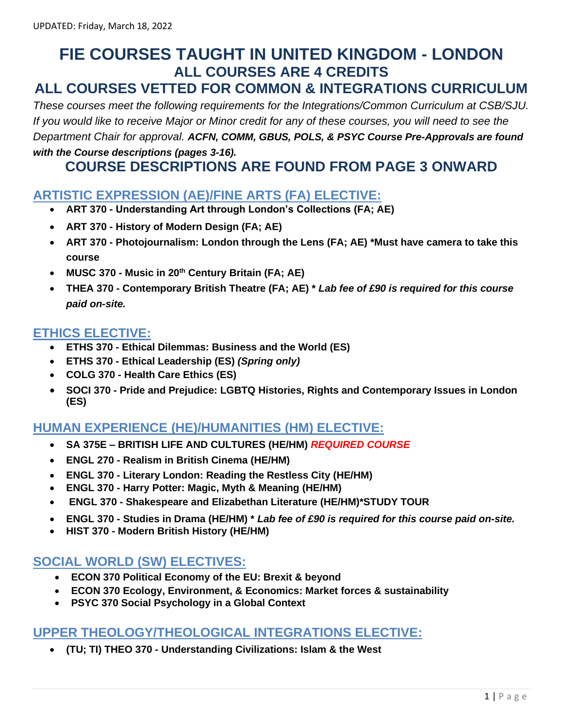# **FIE COURSES TAUGHT IN UNITED KINGDOM - LONDON ALL COURSES ARE 4 CREDITS**

# **ALL COURSES VETTED FOR COMMON & INTEGRATIONS CURRICULUM**

*These courses meet the following requirements for the Integrations/Common Curriculum at CSB/SJU. If you would like to receive Major or Minor credit for any of these courses, you will need to see the Department Chair for approval. ACFN, COMM, GBUS, POLS, & PSYC Course Pre-Approvals are found with the Course descriptions (pages 3-16).* 

## **COURSE DESCRIPTIONS ARE FOUND FROM PAGE 3 ONWARD**

### **ARTISTIC EXPRESSION (AE)/FINE ARTS (FA) ELECTIVE:**

- **ART 370 - Understanding Art through London's Collections (FA; AE)**
- **ART 370 - History of Modern Design (FA; AE)**
- **ART 370 - Photojournalism: London through the Lens (FA; AE) \*Must have camera to take this course**
- **MUSC 370 - Music in 20th Century Britain (FA; AE)**
- **THEA 370 - Contemporary British Theatre (FA; AE) \*** *Lab fee of £90 is required for this course paid on-site.*

### **ETHICS ELECTIVE:**

- **ETHS 370 - Ethical Dilemmas: Business and the World (ES)**
- **ETHS 370 - Ethical Leadership (ES)** *(Spring only)*
- **COLG 370 - Health Care Ethics (ES)**
- **SOCI 370 - Pride and Prejudice: LGBTQ Histories, Rights and Contemporary Issues in London (ES)**

## **HUMAN EXPERIENCE (HE)/HUMANITIES (HM) ELECTIVE:**

- **SA 375E – BRITISH LIFE AND CULTURES (HE/HM)** *REQUIRED COURSE*
- **ENGL 270 - Realism in British Cinema (HE/HM)**
- **ENGL 370 - Literary London: Reading the Restless City (HE/HM)**
- **ENGL 370 - Harry Potter: Magic, Myth & Meaning (HE/HM)**
- **ENGL 370 - Shakespeare and Elizabethan Literature (HE/HM)\*STUDY TOUR**
- **ENGL 370 - Studies in Drama (HE/HM) \*** *Lab fee of £90 is required for this course paid on-site.*
- **HIST 370 - Modern British History (HE/HM)**

## **SOCIAL WORLD (SW) ELECTIVES:**

- **ECON 370 Political Economy of the EU: Brexit & beyond**
- **ECON 370 Ecology, Environment, & Economics: Market forces & sustainability**
- **PSYC 370 Social Psychology in a Global Context**

## **UPPER THEOLOGY/THEOLOGICAL INTEGRATIONS ELECTIVE:**

• **(TU; TI) THEO 370 - Understanding Civilizations: Islam & the West**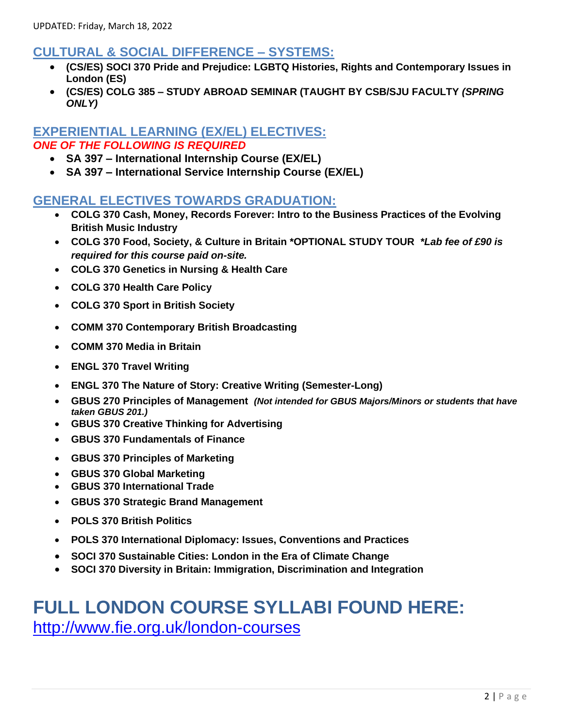## **CULTURAL & SOCIAL DIFFERENCE – SYSTEMS:**

- **(CS/ES) SOCI 370 Pride and Prejudice: LGBTQ Histories, Rights and Contemporary Issues in London (ES)**
- **(CS/ES) COLG 385 – STUDY ABROAD SEMINAR (TAUGHT BY CSB/SJU FACULTY** *(SPRING ONLY)*

### **EXPERIENTIAL LEARNING (EX/EL) ELECTIVES:** *ONE OF THE FOLLOWING IS REQUIRED*

- **SA 397 – International Internship Course (EX/EL)**
- **SA 397 – International Service Internship Course (EX/EL)**

### **GENERAL ELECTIVES TOWARDS GRADUATION:**

- **COLG 370 Cash, Money, Records Forever: Intro to the Business Practices of the Evolving British Music Industry**
- **COLG 370 Food, Society, & Culture in Britain \*OPTIONAL STUDY TOUR** *\*Lab fee of £90 is required for this course paid on-site.*
- **COLG 370 Genetics in Nursing & Health Care**
- **COLG 370 Health Care Policy**
- **COLG 370 Sport in British Society**
- **COMM 370 Contemporary British Broadcasting**
- **COMM 370 Media in Britain**
- **ENGL 370 Travel Writing**
- **ENGL 370 The Nature of Story: Creative Writing (Semester-Long)**
- **GBUS 270 Principles of Management** *(Not intended for GBUS Majors/Minors or students that have taken GBUS 201.)*
- **GBUS 370 Creative Thinking for Advertising**
- **GBUS 370 Fundamentals of Finance**
- **GBUS 370 Principles of Marketing**
- **GBUS 370 Global Marketing**
- **GBUS 370 International Trade**
- **GBUS 370 Strategic Brand Management**
- **POLS 370 British Politics**
- **POLS 370 International Diplomacy: Issues, Conventions and Practices**
- **SOCI 370 Sustainable Cities: London in the Era of Climate Change**
- **SOCI 370 Diversity in Britain: Immigration, Discrimination and Integration**

# **FULL LONDON COURSE SYLLABI FOUND HERE:** <http://www.fie.org.uk/london-courses>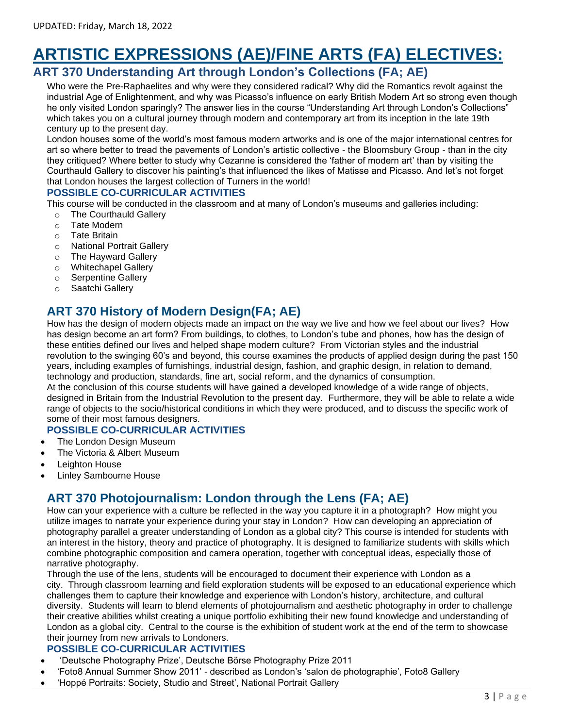# **ARTISTIC EXPRESSIONS (AE)/FINE ARTS (FA) ELECTIVES:**

## **ART 370 Understanding Art through London's Collections (FA; AE)**

Who were the Pre-Raphaelites and why were they considered radical? Why did the Romantics revolt against the industrial Age of Enlightenment, and why was Picasso's influence on early British Modern Art so strong even though he only visited London sparingly? The answer lies in the course "Understanding Art through London's Collections" which takes you on a cultural journey through modern and contemporary art from its inception in the late 19th century up to the present day.

London houses some of the world's most famous modern artworks and is one of the major international centres for art so where better to tread the pavements of London's artistic collective - the Bloomsbury Group - than in the city they critiqued? Where better to study why Cezanne is considered the 'father of modern art' than by visiting the Courthauld Gallery to discover his painting's that influenced the likes of Matisse and Picasso. And let's not forget that London houses the largest collection of Turners in the world!

#### **POSSIBLE CO-CURRICULAR ACTIVITIES**

This course will be conducted in the classroom and at many of London's museums and galleries including:

- o The Courthauld Gallery
- o Tate Modern
- o Tate Britain
- o National Portrait Gallery
- o The Hayward Gallery
- o Whitechapel Gallery
- o Serpentine Gallery
- o Saatchi Gallery

## **ART 370 History of Modern Design(FA; AE)**

How has the design of modern objects made an impact on the way we live and how we feel about our lives? How has design become an art form? From buildings, to clothes, to London's tube and phones, how has the design of these entities defined our lives and helped shape modern culture? From Victorian styles and the industrial revolution to the swinging 60's and beyond, this course examines the products of applied design during the past 150 years, including examples of furnishings, industrial design, fashion, and graphic design, in relation to demand, technology and production, standards, fine art, social reform, and the dynamics of consumption.

At the conclusion of this course students will have gained a developed knowledge of a wide range of objects, designed in Britain from the Industrial Revolution to the present day. Furthermore, they will be able to relate a wide range of objects to the socio/historical conditions in which they were produced, and to discuss the specific work of some of their most famous designers.

#### **POSSIBLE CO-CURRICULAR ACTIVITIES**

- The London Design Museum
- The Victoria & Albert Museum
- **Leighton House**
- **Linley Sambourne House**

## **ART 370 Photojournalism: London through the Lens (FA; AE)**

How can your experience with a culture be reflected in the way you capture it in a photograph? How might you utilize images to narrate your experience during your stay in London? How can developing an appreciation of photography parallel a greater understanding of London as a global city? This course is intended for students with an interest in the history, theory and practice of photography. It is designed to familiarize students with skills which combine photographic composition and camera operation, together with conceptual ideas, especially those of narrative photography.

Through the use of the lens, students will be encouraged to document their experience with London as a city. Through classroom learning and field exploration students will be exposed to an educational experience which challenges them to capture their knowledge and experience with London's history, architecture, and cultural diversity. Students will learn to blend elements of photojournalism and aesthetic photography in order to challenge their creative abilities whilst creating a unique portfolio exhibiting their new found knowledge and understanding of London as a global city. Central to the course is the exhibition of student work at the end of the term to showcase their journey from new arrivals to Londoners.

#### **POSSIBLE CO-CURRICULAR ACTIVITIES**

- 'Deutsche Photography Prize', Deutsche Börse Photography Prize 2011
- 'Foto8 Annual Summer Show 2011' described as London's 'salon de photographie', Foto8 Gallery
- 'Hoppé Portraits: Society, Studio and Street', National Portrait Gallery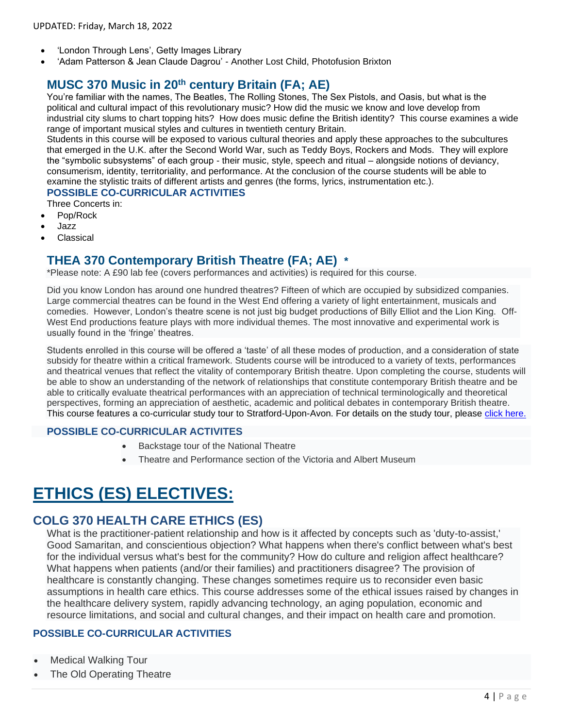- 'London Through Lens', Getty Images Library
- 'Adam Patterson & Jean Claude Dagrou' Another Lost Child, Photofusion Brixton

## **MUSC 370 Music in 20th century Britain (FA; AE)**

You're familiar with the names, The Beatles, The Rolling Stones, The Sex Pistols, and Oasis, but what is the political and cultural impact of this revolutionary music? How did the music we know and love develop from industrial city slums to chart topping hits? How does music define the British identity? This course examines a wide range of important musical styles and cultures in twentieth century Britain.

Students in this course will be exposed to various cultural theories and apply these approaches to the subcultures that emerged in the U.K. after the Second World War, such as Teddy Boys, Rockers and Mods. They will explore the "symbolic subsystems" of each group - their music, style, speech and ritual – alongside notions of deviancy, consumerism, identity, territoriality, and performance. At the conclusion of the course students will be able to examine the stylistic traits of different artists and genres (the forms, lyrics, instrumentation etc.).

#### **POSSIBLE CO-CURRICULAR ACTIVITIES**

Three Concerts in:

- Pop/Rock
- Jazz
- **Classical**

### **THEA 370 Contemporary British Theatre (FA; AE) \***

\*Please note: A £90 lab fee (covers performances and activities) is required for this course.

Did you know London has around one hundred theatres? Fifteen of which are occupied by subsidized companies. Large commercial theatres can be found in the West End offering a variety of light entertainment, musicals and comedies. However, London's theatre scene is not just big budget productions of Billy Elliot and the Lion King. Off-West End productions feature plays with more individual themes. The most innovative and experimental work is usually found in the 'fringe' theatres.

Students enrolled in this course will be offered a 'taste' of all these modes of production, and a consideration of state subsidy for theatre within a critical framework. Students course will be introduced to a variety of texts, performances and theatrical venues that reflect the vitality of contemporary British theatre. Upon completing the course, students will be able to show an understanding of the network of relationships that constitute contemporary British theatre and be able to critically evaluate theatrical performances with an appreciation of technical terminologically and theoretical perspectives, forming an appreciation of aesthetic, academic and political debates in contemporary British theatre. This course features a co-curricular study tour to Stratford-Upon-Avon. For details on the study tour, please [click here.](http://www.fie.org.uk/london-study-tours)

#### **POSSIBLE CO-CURRICULAR ACTIVITES**

- Backstage tour of the National Theatre
- Theatre and Performance section of the Victoria and Albert Museum

# **ETHICS (ES) ELECTIVES:**

### **COLG 370 [HEALTH CARE ETHICS](http://www.fie.org.uk/157-courses/717-health-care-ethics) (ES)**

What is the practitioner-patient relationship and how is it affected by concepts such as 'duty-to-assist,' Good Samaritan, and conscientious objection? What happens when there's conflict between what's best for the individual versus what's best for the community? How do culture and religion affect healthcare? What happens when patients (and/or their families) and practitioners disagree? The provision of healthcare is constantly changing. These changes sometimes require us to reconsider even basic assumptions in health care ethics. This course addresses some of the ethical issues raised by changes in the healthcare delivery system, rapidly advancing technology, an aging population, economic and resource limitations, and social and cultural changes, and their impact on health care and promotion.

#### **POSSIBLE CO-CURRICULAR ACTIVITIES**

- Medical Walking Tour
- The Old Operating Theatre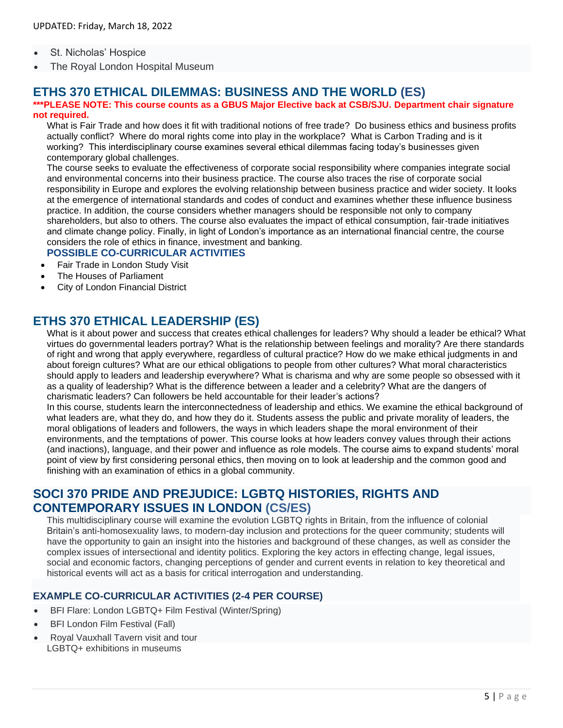- St. Nicholas' Hospice
- The Royal London Hospital Museum

### **ETHS 370 ETHICAL DILEMMAS: BUSINESS AND THE WORLD (ES)**

#### **\*\*\*PLEASE NOTE: This course counts as a GBUS Major Elective back at CSB/SJU. Department chair signature not required.**

What is Fair Trade and how does it fit with traditional notions of free trade? Do business ethics and business profits actually conflict? Where do moral rights come into play in the workplace? What is Carbon Trading and is it working? This interdisciplinary course examines several ethical dilemmas facing today's businesses given contemporary global challenges.

The course seeks to evaluate the effectiveness of corporate social responsibility where companies integrate social and environmental concerns into their business practice. The course also traces the rise of corporate social responsibility in Europe and explores the evolving relationship between business practice and wider society. It looks at the emergence of international standards and codes of conduct and examines whether these influence business practice. In addition, the course considers whether managers should be responsible not only to company shareholders, but also to others. The course also evaluates the impact of ethical consumption, fair-trade initiatives and climate change policy. Finally, in light of London's importance as an international financial centre, the course considers the role of ethics in finance, investment and banking.

#### **POSSIBLE CO-CURRICULAR ACTIVITIES**

- Fair Trade in London Study Visit
- The Houses of Parliament
- City of London Financial District

### **ETHS 370 ETHICAL LEADERSHIP (ES)**

What is it about power and success that creates ethical challenges for leaders? Why should a leader be ethical? What virtues do governmental leaders portray? What is the relationship between feelings and morality? Are there standards of right and wrong that apply everywhere, regardless of cultural practice? How do we make ethical judgments in and about foreign cultures? What are our ethical obligations to people from other cultures? What moral characteristics should apply to leaders and leadership everywhere? What is charisma and why are some people so obsessed with it as a quality of leadership? What is the difference between a leader and a celebrity? What are the dangers of charismatic leaders? Can followers be held accountable for their leader's actions?

In this course, students learn the interconnectedness of leadership and ethics. We examine the ethical background of what leaders are, what they do, and how they do it. Students assess the public and private morality of leaders, the moral obligations of leaders and followers, the ways in which leaders shape the moral environment of their environments, and the temptations of power. This course looks at how leaders convey values through their actions (and inactions), language, and their power and influence as role models. The course aims to expand students' moral point of view by first considering personal ethics, then moving on to look at leadership and the common good and finishing with an examination of ethics in a global community.

## **SOCI 370 [PRIDE AND PREJUDICE: LGBTQ HISTORIES, RIGHTS AND](http://www.fie.org.uk/157-courses/939-pride-and-prejudice-lgbtq-histories-rights-and-contemporary-issues-in-london)  [CONTEMPORARY ISSUES IN LONDON](http://www.fie.org.uk/157-courses/939-pride-and-prejudice-lgbtq-histories-rights-and-contemporary-issues-in-london) (CS/ES)**

This multidisciplinary course will examine the evolution LGBTQ rights in Britain, from the influence of colonial Britain's anti-homosexuality laws, to modern-day inclusion and protections for the queer community; students will have the opportunity to gain an insight into the histories and background of these changes, as well as consider the complex issues of intersectional and identity politics. Exploring the key actors in effecting change, legal issues, social and economic factors, changing perceptions of gender and current events in relation to key theoretical and historical events will act as a basis for critical interrogation and understanding.

#### **EXAMPLE CO-CURRICULAR ACTIVITIES (2-4 PER COURSE)**

- BFI Flare: London LGBTQ+ Film Festival (Winter/Spring)
- BFI London Film Festival (Fall)
- Royal Vauxhall Tavern visit and tour LGBTQ+ exhibitions in museums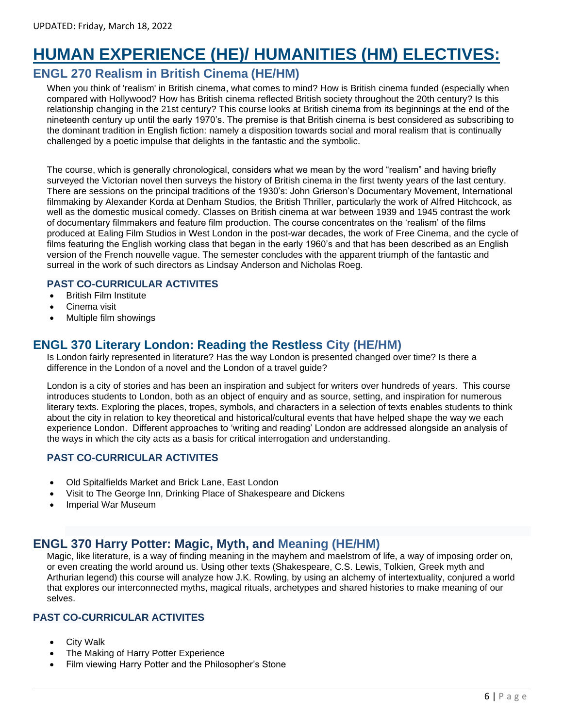# **HUMAN EXPERIENCE (HE)/ HUMANITIES (HM) ELECTIVES:**

## **ENGL 270 Realism in British Cinema (HE/HM)**

When you think of 'realism' in British cinema, what comes to mind? How is British cinema funded (especially when compared with Hollywood? How has British cinema reflected British society throughout the 20th century? Is this relationship changing in the 21st century? This course looks at British cinema from its beginnings at the end of the nineteenth century up until the early 1970's. The premise is that British cinema is best considered as subscribing to the dominant tradition in English fiction: namely a disposition towards social and moral realism that is continually challenged by a poetic impulse that delights in the fantastic and the symbolic.

The course, which is generally chronological, considers what we mean by the word "realism" and having briefly surveyed the Victorian novel then surveys the history of British cinema in the first twenty years of the last century. There are sessions on the principal traditions of the 1930's: John Grierson's Documentary Movement, International filmmaking by Alexander Korda at Denham Studios, the British Thriller, particularly the work of Alfred Hitchcock, as well as the domestic musical comedy. Classes on British cinema at war between 1939 and 1945 contrast the work of documentary filmmakers and feature film production. The course concentrates on the 'realism' of the films produced at Ealing Film Studios in West London in the post-war decades, the work of Free Cinema, and the cycle of films featuring the English working class that began in the early 1960's and that has been described as an English version of the French nouvelle vague. The semester concludes with the apparent triumph of the fantastic and surreal in the work of such directors as Lindsay Anderson and Nicholas Roeg.

#### **PAST CO-CURRICULAR ACTIVITES**

- British Film Institute
- Cinema visit
- Multiple film showings

## **ENGL 370 Literary London: Reading the Restless City (HE/HM)**

Is London fairly represented in literature? Has the way London is presented changed over time? Is there a difference in the London of a novel and the London of a travel guide?

London is a city of stories and has been an inspiration and subject for writers over hundreds of years. This course introduces students to London, both as an object of enquiry and as source, setting, and inspiration for numerous literary texts. Exploring the places, tropes, symbols, and characters in a selection of texts enables students to think about the city in relation to key theoretical and historical/cultural events that have helped shape the way we each experience London. Different approaches to 'writing and reading' London are addressed alongside an analysis of the ways in which the city acts as a basis for critical interrogation and understanding.

#### **PAST CO-CURRICULAR ACTIVITES**

- Old Spitalfields Market and Brick Lane, East London
- Visit to The George Inn, Drinking Place of Shakespeare and Dickens
- Imperial War Museum

## **ENGL 370 Harry Potter: Magic, Myth, and Meaning (HE/HM)**

Magic, like literature, is a way of finding meaning in the mayhem and maelstrom of life, a way of imposing order on, or even creating the world around us. Using other texts (Shakespeare, C.S. Lewis, Tolkien, Greek myth and Arthurian legend) this course will analyze how J.K. Rowling, by using an alchemy of intertextuality, conjured a world that explores our interconnected myths, magical rituals, archetypes and shared histories to make meaning of our selves.

### **PAST CO-CURRICULAR ACTIVITES**

- **City Walk**
- The Making of Harry Potter Experience
- Film viewing Harry Potter and the Philosopher's Stone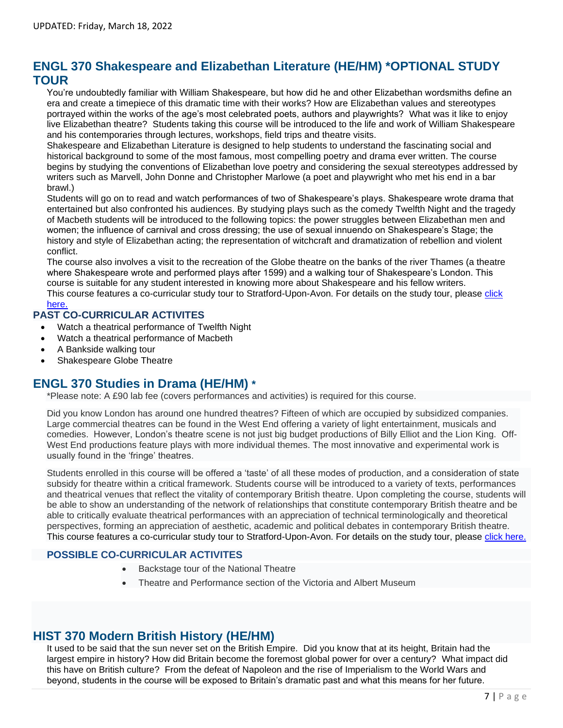## **ENGL 370 Shakespeare and Elizabethan Literature (HE/HM) \*OPTIONAL STUDY TOUR**

You're undoubtedly familiar with William Shakespeare, but how did he and other Elizabethan wordsmiths define an era and create a timepiece of this dramatic time with their works? How are Elizabethan values and stereotypes portrayed within the works of the age's most celebrated poets, authors and playwrights? What was it like to enjoy live Elizabethan theatre? Students taking this course will be introduced to the life and work of William Shakespeare and his contemporaries through lectures, workshops, field trips and theatre visits.

Shakespeare and Elizabethan Literature is designed to help students to understand the fascinating social and historical background to some of the most famous, most compelling poetry and drama ever written. The course begins by studying the conventions of Elizabethan love poetry and considering the sexual stereotypes addressed by writers such as Marvell, John Donne and Christopher Marlowe (a poet and playwright who met his end in a bar brawl.)

Students will go on to read and watch performances of two of Shakespeare's plays. Shakespeare wrote drama that entertained but also confronted his audiences. By studying plays such as the comedy Twelfth Night and the tragedy of Macbeth students will be introduced to the following topics: the power struggles between Elizabethan men and women; the influence of carnival and cross dressing; the use of sexual innuendo on Shakespeare's Stage; the history and style of Elizabethan acting; the representation of witchcraft and dramatization of rebellion and violent conflict.

The course also involves a visit to the recreation of the Globe theatre on the banks of the river Thames (a theatre where Shakespeare wrote and performed plays after 1599) and a walking tour of Shakespeare's London. This course is suitable for any student interested in knowing more about Shakespeare and his fellow writers. This course features a co-curricular study tour to Stratford-Upon-Avon. For details on the study tour, please click

### [here.](http://www.fie.org.uk/london-study-tours)

#### **PAST CO-CURRICULAR ACTIVITES**

- Watch a theatrical performance of Twelfth Night
- Watch a theatrical performance of Macbeth
- A Bankside walking tour
- Shakespeare Globe Theatre

## **ENGL 370 Studies in Drama (HE/HM) \***

\*Please note: A £90 lab fee (covers performances and activities) is required for this course.

Did you know London has around one hundred theatres? Fifteen of which are occupied by subsidized companies. Large commercial theatres can be found in the West End offering a variety of light entertainment, musicals and comedies. However, London's theatre scene is not just big budget productions of Billy Elliot and the Lion King. Off-West End productions feature plays with more individual themes. The most innovative and experimental work is usually found in the 'fringe' theatres.

Students enrolled in this course will be offered a 'taste' of all these modes of production, and a consideration of state subsidy for theatre within a critical framework. Students course will be introduced to a variety of texts, performances and theatrical venues that reflect the vitality of contemporary British theatre. Upon completing the course, students will be able to show an understanding of the network of relationships that constitute contemporary British theatre and be able to critically evaluate theatrical performances with an appreciation of technical terminologically and theoretical perspectives, forming an appreciation of aesthetic, academic and political debates in contemporary British theatre. This course features a co-curricular study tour to Stratford-Upon-Avon. For details on the study tour, please [click here.](http://www.fie.org.uk/london-study-tours)

#### **POSSIBLE CO-CURRICULAR ACTIVITES**

- Backstage tour of the National Theatre
- Theatre and Performance section of the Victoria and Albert Museum

### **HIST 370 Modern British History (HE/HM)**

It used to be said that the sun never set on the British Empire. Did you know that at its height, Britain had the largest empire in history? How did Britain become the foremost global power for over a century? What impact did this have on British culture? From the defeat of Napoleon and the rise of Imperialism to the World Wars and beyond, students in the course will be exposed to Britain's dramatic past and what this means for her future.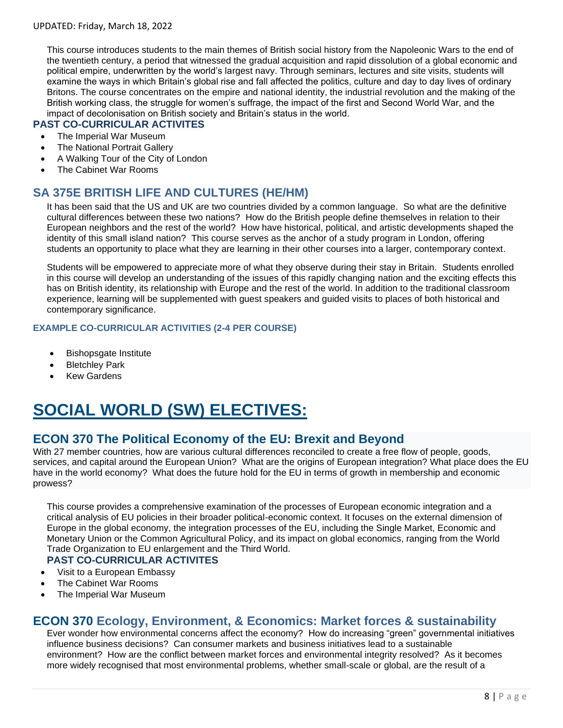This course introduces students to the main themes of British social history from the Napoleonic Wars to the end of the twentieth century, a period that witnessed the gradual acquisition and rapid dissolution of a global economic and political empire, underwritten by the world's largest navy. Through seminars, lectures and site visits, students will examine the ways in which Britain's global rise and fall affected the politics, culture and day to day lives of ordinary Britons. The course concentrates on the empire and national identity, the industrial revolution and the making of the British working class, the struggle for women's suffrage, the impact of the first and Second World War, and the impact of decolonisation on British society and Britain's status in the world.

#### **PAST CO-CURRICULAR ACTIVITES**

- The Imperial War Museum
- The National Portrait Gallery
- A Walking Tour of the City of London
- The Cabinet War Rooms

### **SA 375E BRITISH LIFE AND CULTURES (HE/HM)**

It has been said that the US and UK are two countries divided by a common language. So what are the definitive cultural differences between these two nations? How do the British people define themselves in relation to their European neighbors and the rest of the world? How have historical, political, and artistic developments shaped the identity of this small island nation? This course serves as the anchor of a study program in London, offering students an opportunity to place what they are learning in their other courses into a larger, contemporary context.

Students will be empowered to appreciate more of what they observe during their stay in Britain. Students enrolled in this course will develop an understanding of the issues of this rapidly changing nation and the exciting effects this has on British identity, its relationship with Europe and the rest of the world. In addition to the traditional classroom experience, learning will be supplemented with guest speakers and guided visits to places of both historical and contemporary significance.

#### **EXAMPLE CO-CURRICULAR ACTIVITIES (2-4 PER COURSE)**

- Bishopsgate Institute
- **Bletchley Park**
- **Kew Gardens**

# **SOCIAL WORLD (SW) ELECTIVES:**

## **ECON 370 The Political Economy of the EU: Brexit and Beyond**

With 27 member countries, how are various cultural differences reconciled to create a free flow of people, goods, services, and capital around the European Union? What are the origins of European integration? What place does the EU have in the world economy? What does the future hold for the EU in terms of growth in membership and economic prowess?

This course provides a comprehensive examination of the processes of European economic integration and a critical analysis of EU policies in their broader political-economic context. It focuses on the external dimension of Europe in the global economy, the integration processes of the EU, including the Single Market, Economic and Monetary Union or the Common Agricultural Policy, and its impact on global economics, ranging from the World Trade Organization to EU enlargement and the Third World.

#### **PAST CO-CURRICULAR ACTIVITES**

- Visit to a European Embassy
- The Cabinet War Rooms
- The Imperial War Museum

## **ECON 370 Ecology, Environment, & Economics: Market forces & sustainability**

Ever wonder how environmental concerns affect the economy? How do increasing "green" governmental initiatives influence business decisions? Can consumer markets and business initiatives lead to a sustainable environment? How are the conflict between market forces and environmental integrity resolved? As it becomes more widely recognised that most environmental problems, whether small-scale or global, are the result of a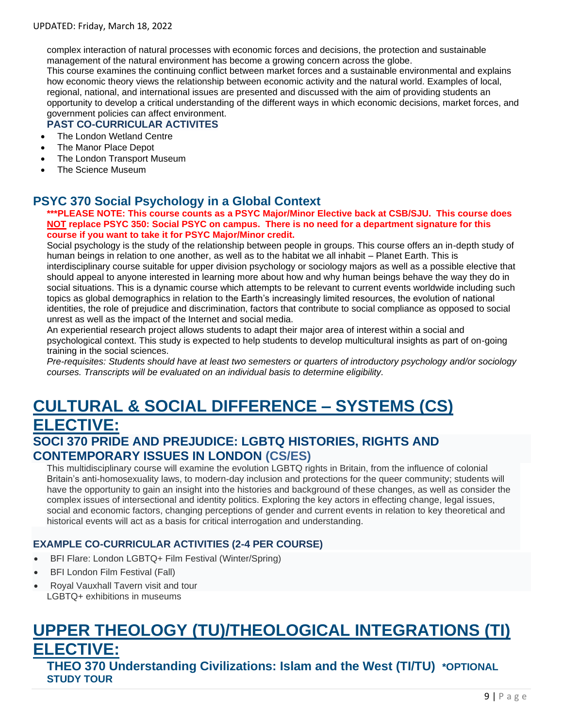complex interaction of natural processes with economic forces and decisions, the protection and sustainable management of the natural environment has become a growing concern across the globe.

This course examines the continuing conflict between market forces and a sustainable environmental and explains how economic theory views the relationship between economic activity and the natural world. Examples of local, regional, national, and international issues are presented and discussed with the aim of providing students an opportunity to develop a critical understanding of the different ways in which economic decisions, market forces, and government policies can affect environment.

#### **PAST CO-CURRICULAR ACTIVITES**

- The London Wetland Centre
- The Manor Place Depot
- The London Transport Museum
- The Science Museum

### **PSYC 370 Social Psychology in a Global Context**

**\*\*\*PLEASE NOTE: This course counts as a PSYC Major/Minor Elective back at CSB/SJU. This course does NOT replace PSYC 350: Social PSYC on campus. There is no need for a department signature for this course if you want to take it for PSYC Major/Minor credit.**

Social psychology is the study of the relationship between people in groups. This course offers an in-depth study of human beings in relation to one another, as well as to the habitat we all inhabit – Planet Earth. This is interdisciplinary course suitable for upper division psychology or sociology majors as well as a possible elective that should appeal to anyone interested in learning more about how and why human beings behave the way they do in social situations. This is a dynamic course which attempts to be relevant to current events worldwide including such topics as global demographics in relation to the Earth's increasingly limited resources, the evolution of national identities, the role of prejudice and discrimination, factors that contribute to social compliance as opposed to social unrest as well as the impact of the Internet and social media.

An experiential research project allows students to adapt their major area of interest within a social and psychological context. This study is expected to help students to develop multicultural insights as part of on-going training in the social sciences.

*Pre-requisites: Students should have at least two semesters or quarters of introductory psychology and/or sociology courses. Transcripts will be evaluated on an individual basis to determine eligibility.*

## **CULTURAL & SOCIAL DIFFERENCE – SYSTEMS (CS) ELECTIVE: SOCI 370 [PRIDE AND PREJUDICE: LGBTQ HISTORIES, RIGHTS AND](http://www.fie.org.uk/157-courses/939-pride-and-prejudice-lgbtq-histories-rights-and-contemporary-issues-in-london)  [CONTEMPORARY ISSUES IN LONDON](http://www.fie.org.uk/157-courses/939-pride-and-prejudice-lgbtq-histories-rights-and-contemporary-issues-in-london) (CS/ES)**

This multidisciplinary course will examine the evolution LGBTQ rights in Britain, from the influence of colonial Britain's anti-homosexuality laws, to modern-day inclusion and protections for the queer community; students will have the opportunity to gain an insight into the histories and background of these changes, as well as consider the complex issues of intersectional and identity politics. Exploring the key actors in effecting change, legal issues, social and economic factors, changing perceptions of gender and current events in relation to key theoretical and historical events will act as a basis for critical interrogation and understanding.

#### **EXAMPLE CO-CURRICULAR ACTIVITIES (2-4 PER COURSE)**

- BFI Flare: London LGBTQ+ Film Festival (Winter/Spring)
- BFI London Film Festival (Fall)
- Royal Vauxhall Tavern visit and tour LGBTQ+ exhibitions in museums

# **UPPER THEOLOGY (TU)/THEOLOGICAL INTEGRATIONS (TI) ELECTIVE:**

**THEO 370 Understanding Civilizations: Islam and the West (TI/TU) \*OPTIONAL STUDY TOUR**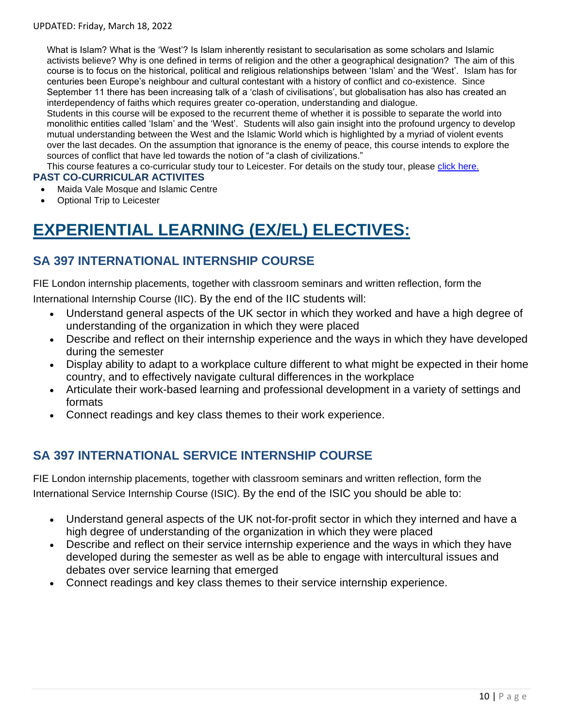What is Islam? What is the 'West'? Is Islam inherently resistant to secularisation as some scholars and Islamic activists believe? Why is one defined in terms of religion and the other a geographical designation? The aim of this course is to focus on the historical, political and religious relationships between 'Islam' and the 'West'. Islam has for centuries been Europe's neighbour and cultural contestant with a history of conflict and co-existence. Since September 11 there has been increasing talk of a 'clash of civilisations', but globalisation has also has created an interdependency of faiths which requires greater co-operation, understanding and dialogue.

Students in this course will be exposed to the recurrent theme of whether it is possible to separate the world into monolithic entities called 'Islam' and the 'West'. Students will also gain insight into the profound urgency to develop mutual understanding between the West and the Islamic World which is highlighted by a myriad of violent events over the last decades. On the assumption that ignorance is the enemy of peace, this course intends to explore the sources of conflict that have led towards the notion of "a clash of civilizations."

This course features a co-curricular study tour to Leicester. For details on the study tour, please [click here.](http://www.fie.org.uk/london-study-tours)

#### **PAST CO-CURRICULAR ACTIVITES**

- Maida Vale Mosque and Islamic Centre
- Optional Trip to Leicester

# **EXPERIENTIAL LEARNING (EX/EL) ELECTIVES:**

## **SA 397 INTERNATIONAL INTERNSHIP COURSE**

FIE London internship placements, together with classroom seminars and written reflection, form the

International Internship Course (IIC). By the end of the IIC students will:

- Understand general aspects of the UK sector in which they worked and have a high degree of understanding of the organization in which they were placed
- Describe and reflect on their internship experience and the ways in which they have developed during the semester
- Display ability to adapt to a workplace culture different to what might be expected in their home country, and to effectively navigate cultural differences in the workplace
- Articulate their work-based learning and professional development in a variety of settings and formats
- Connect readings and key class themes to their work experience.

### **SA 397 INTERNATIONAL SERVICE INTERNSHIP COURSE**

FIE London internship placements, together with classroom seminars and written reflection, form the International Service Internship Course (ISIC). By the end of the ISIC you should be able to:

- Understand general aspects of the UK not-for-profit sector in which they interned and have a high degree of understanding of the organization in which they were placed
- Describe and reflect on their service internship experience and the ways in which they have developed during the semester as well as be able to engage with intercultural issues and debates over service learning that emerged
- Connect readings and key class themes to their service internship experience.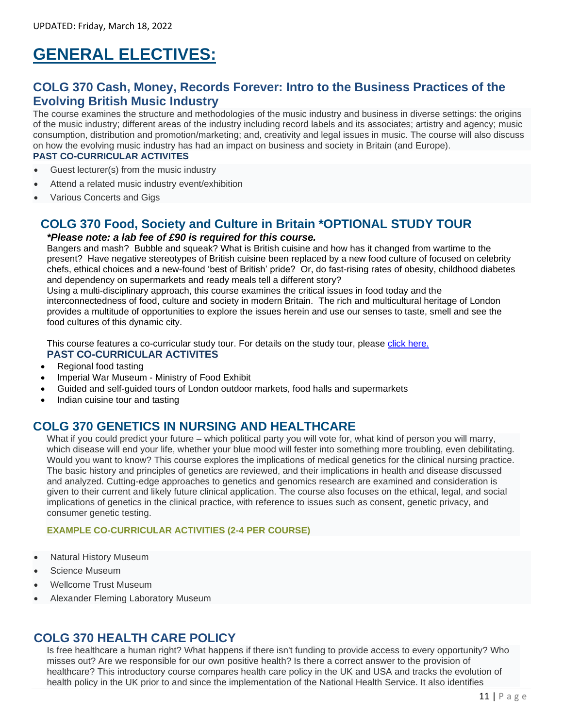# **GENERAL ELECTIVES:**

## **COLG 370 Cash, Money, Records Forever: Intro to the Business Practices of the Evolving British Music Industry**

The course examines the structure and methodologies of the music industry and business in diverse settings: the origins of the music industry; different areas of the industry including record labels and its associates; artistry and agency; music consumption, distribution and promotion/marketing; and, creativity and legal issues in music. The course will also discuss on how the evolving music industry has had an impact on business and society in Britain (and Europe). **PAST CO-CURRICULAR ACTIVITES**

- Guest lecturer(s) from the music industry
- Attend a related music industry event/exhibition
- Various Concerts and Gigs

## **COLG 370 Food, Society and Culture in Britain \*OPTIONAL STUDY TOUR**

#### *\*Please note: a lab fee of £90 is required for this course.*

Bangers and mash? Bubble and squeak? What is British cuisine and how has it changed from wartime to the present? Have negative stereotypes of British cuisine been replaced by a new food culture of focused on celebrity chefs, ethical choices and a new-found 'best of British' pride? Or, do fast-rising rates of obesity, childhood diabetes and dependency on supermarkets and ready meals tell a different story?

Using a multi-disciplinary approach, this course examines the critical issues in food today and the interconnectedness of food, culture and society in modern Britain. The rich and multicultural heritage of London provides a multitude of opportunities to explore the issues herein and use our senses to taste, smell and see the food cultures of this dynamic city.

This course features a co-curricular study tour. For details on the study tour, please [click here.](http://www.fie.org.uk/london-study-tours) **PAST CO-CURRICULAR ACTIVITES**

- Regional food tasting
- Imperial War Museum Ministry of Food Exhibit
- Guided and self-guided tours of London outdoor markets, food halls and supermarkets
- Indian cuisine tour and tasting

### **COLG 370 [GENETICS IN NURSING AND HEALTHCARE](http://www.fie.org.uk/157-courses/715-genetics-in-nursing-and-healthcare)**

What if you could predict your future – which political party you will vote for, what kind of person you will marry, which disease will end your life, whether your blue mood will fester into something more troubling, even debilitating. Would you want to know? This course explores the implications of medical genetics for the clinical nursing practice. The basic history and principles of genetics are reviewed, and their implications in health and disease discussed and analyzed. Cutting-edge approaches to genetics and genomics research are examined and consideration is given to their current and likely future clinical application. The course also focuses on the ethical, legal, and social implications of genetics in the clinical practice, with reference to issues such as consent, genetic privacy, and consumer genetic testing.

#### **EXAMPLE CO-CURRICULAR ACTIVITIES (2-4 PER COURSE)**

- Natural History Museum
- Science Museum
- Wellcome Trust Museum
- Alexander Fleming Laboratory Museum

### **COLG 370 [HEALTH CARE POLICY](http://www.fie.org.uk/157-courses/716-health-care-policy)**

Is free healthcare a human right? What happens if there isn't funding to provide access to every opportunity? Who misses out? Are we responsible for our own positive health? Is there a correct answer to the provision of healthcare? This introductory course compares health care policy in the UK and USA and tracks the evolution of health policy in the UK prior to and since the implementation of the National Health Service. It also identifies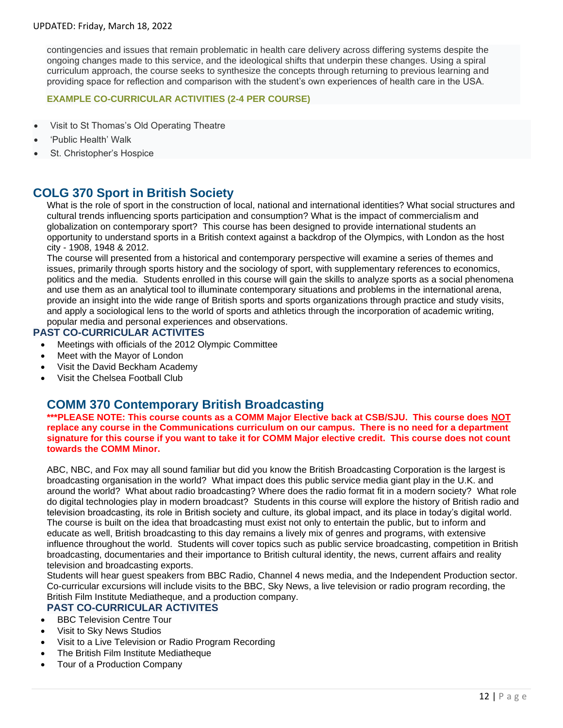contingencies and issues that remain problematic in health care delivery across differing systems despite the ongoing changes made to this service, and the ideological shifts that underpin these changes. Using a spiral curriculum approach, the course seeks to synthesize the concepts through returning to previous learning and providing space for reflection and comparison with the student's own experiences of health care in the USA.

#### **EXAMPLE CO-CURRICULAR ACTIVITIES (2-4 PER COURSE)**

- Visit to St Thomas's Old Operating Theatre
- 'Public Health' Walk
- St. Christopher's Hospice

### **COLG 370 Sport in British Society**

What is the role of sport in the construction of local, national and international identities? What social structures and cultural trends influencing sports participation and consumption? What is the impact of commercialism and globalization on contemporary sport? This course has been designed to provide international students an opportunity to understand sports in a British context against a backdrop of the Olympics, with London as the host city - 1908, 1948 & 2012.

The course will presented from a historical and contemporary perspective will examine a series of themes and issues, primarily through sports history and the sociology of sport, with supplementary references to economics, politics and the media. Students enrolled in this course will gain the skills to analyze sports as a social phenomena and use them as an analytical tool to illuminate contemporary situations and problems in the international arena, provide an insight into the wide range of British sports and sports organizations through practice and study visits, and apply a sociological lens to the world of sports and athletics through the incorporation of academic writing, popular media and personal experiences and observations.

#### **PAST CO-CURRICULAR ACTIVITES**

- Meetings with officials of the 2012 Olympic Committee
- Meet with the Mayor of London
- Visit the David Beckham Academy
- Visit the Chelsea Football Club

### **COMM 370 Contemporary British Broadcasting**

**\*\*\*PLEASE NOTE: This course counts as a COMM Major Elective back at CSB/SJU. This course does NOT replace any course in the Communications curriculum on our campus. There is no need for a department signature for this course if you want to take it for COMM Major elective credit. This course does not count towards the COMM Minor.** 

ABC, NBC, and Fox may all sound familiar but did you know the British Broadcasting Corporation is the largest is broadcasting organisation in the world? What impact does this public service media giant play in the U.K. and around the world? What about radio broadcasting? Where does the radio format fit in a modern society? What role do digital technologies play in modern broadcast? Students in this course will explore the history of British radio and television broadcasting, its role in British society and culture, its global impact, and its place in today's digital world. The course is built on the idea that broadcasting must exist not only to entertain the public, but to inform and educate as well, British broadcasting to this day remains a lively mix of genres and programs, with extensive influence throughout the world. Students will cover topics such as public service broadcasting, competition in British broadcasting, documentaries and their importance to British cultural identity, the news, current affairs and reality television and broadcasting exports.

Students will hear guest speakers from BBC Radio, Channel 4 news media, and the Independent Production sector. Co-curricular excursions will include visits to the BBC, Sky News, a live television or radio program recording, the British Film Institute Mediatheque, and a production company.

#### **PAST CO-CURRICULAR ACTIVITES**

- BBC Television Centre Tour
- Visit to Sky News Studios
- Visit to a Live Television or Radio Program Recording
- The British Film Institute Mediatheque
- Tour of a Production Company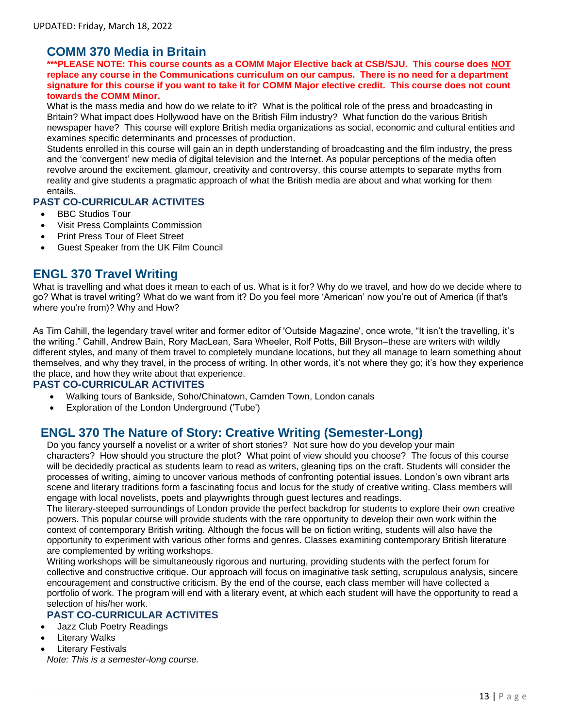## **COMM 370 Media in Britain**

**\*\*\*PLEASE NOTE: This course counts as a COMM Major Elective back at CSB/SJU. This course does NOT replace any course in the Communications curriculum on our campus. There is no need for a department signature for this course if you want to take it for COMM Major elective credit. This course does not count towards the COMM Minor.** 

What is the mass media and how do we relate to it? What is the political role of the press and broadcasting in Britain? What impact does Hollywood have on the British Film industry? What function do the various British newspaper have? This course will explore British media organizations as social, economic and cultural entities and examines specific determinants and processes of production.

Students enrolled in this course will gain an in depth understanding of broadcasting and the film industry, the press and the 'convergent' new media of digital television and the Internet. As popular perceptions of the media often revolve around the excitement, glamour, creativity and controversy, this course attempts to separate myths from reality and give students a pragmatic approach of what the British media are about and what working for them entails.

#### **PAST CO-CURRICULAR ACTIVITES**

- BBC Studios Tour
- Visit Press Complaints Commission
- Print Press Tour of Fleet Street
- Guest Speaker from the UK Film Council

### **ENGL 370 Travel Writing**

What is travelling and what does it mean to each of us. What is it for? Why do we travel, and how do we decide where to go? What is travel writing? What do we want from it? Do you feel more 'American' now you're out of America (if that's where you're from)? Why and How?

As Tim Cahill, the legendary travel writer and former editor of 'Outside Magazine', once wrote, "It isn't the travelling, it's the writing." Cahill, Andrew Bain, Rory MacLean, Sara Wheeler, Rolf Potts, Bill Bryson–these are writers with wildly different styles, and many of them travel to completely mundane locations, but they all manage to learn something about themselves, and why they travel, in the process of writing. In other words, it's not where they go; it's how they experience the place, and how they write about that experience.

#### **PAST CO-CURRICULAR ACTIVITES**

- Walking tours of Bankside, Soho/Chinatown, Camden Town, London canals
- Exploration of the London Underground ('Tube')

## **ENGL 370 The Nature of Story: Creative Writing (Semester-Long)**

Do you fancy yourself a novelist or a writer of short stories? Not sure how do you develop your main characters? How should you structure the plot? What point of view should you choose? The focus of this course will be decidedly practical as students learn to read as writers, gleaning tips on the craft. Students will consider the processes of writing, aiming to uncover various methods of confronting potential issues. London's own vibrant arts scene and literary traditions form a fascinating focus and locus for the study of creative writing. Class members will engage with local novelists, poets and playwrights through guest lectures and readings.

The literary-steeped surroundings of London provide the perfect backdrop for students to explore their own creative powers. This popular course will provide students with the rare opportunity to develop their own work within the context of contemporary British writing. Although the focus will be on fiction writing, students will also have the opportunity to experiment with various other forms and genres. Classes examining contemporary British literature are complemented by writing workshops.

Writing workshops will be simultaneously rigorous and nurturing, providing students with the perfect forum for collective and constructive critique. Our approach will focus on imaginative task setting, scrupulous analysis, sincere encouragement and constructive criticism. By the end of the course, each class member will have collected a portfolio of work. The program will end with a literary event, at which each student will have the opportunity to read a selection of his/her work.

#### **PAST CO-CURRICULAR ACTIVITES**

- Jazz Club Poetry Readings
- **Literary Walks**
- **Literary Festivals**

*Note: This is a semester-long course.*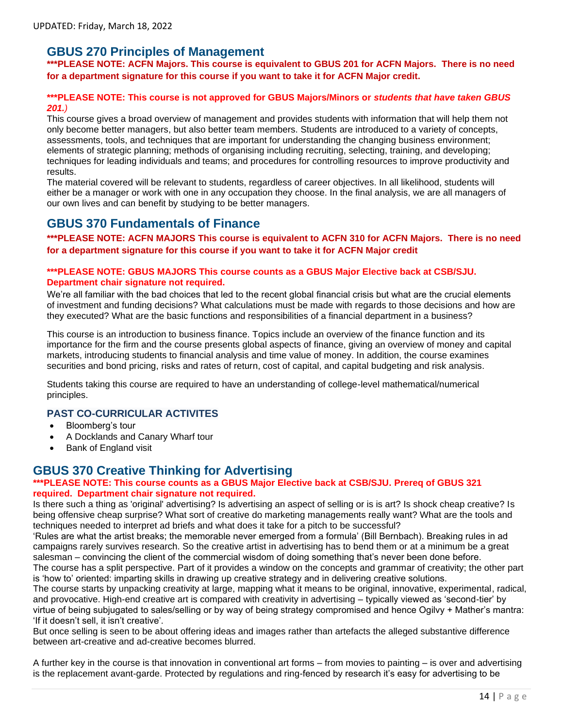### **GBUS 270 Principles of Management**

**\*\*\*PLEASE NOTE: ACFN Majors. This course is equivalent to GBUS 201 for ACFN Majors. There is no need for a department signature for this course if you want to take it for ACFN Major credit.** 

#### **\*\*\*PLEASE NOTE: This course is not approved for GBUS Majors/Minors or** *students that have taken GBUS 201.)*

This course gives a broad overview of management and provides students with information that will help them not only become better managers, but also better team members. Students are introduced to a variety of concepts, assessments, tools, and techniques that are important for understanding the changing business environment; elements of strategic planning; methods of organising including recruiting, selecting, training, and developing; techniques for leading individuals and teams; and procedures for controlling resources to improve productivity and results.

The material covered will be relevant to students, regardless of career objectives. In all likelihood, students will either be a manager or work with one in any occupation they choose. In the final analysis, we are all managers of our own lives and can benefit by studying to be better managers.

### **GBUS 370 Fundamentals of Finance**

**\*\*\*PLEASE NOTE: ACFN MAJORS This course is equivalent to ACFN 310 for ACFN Majors. There is no need for a department signature for this course if you want to take it for ACFN Major credit**

#### **\*\*\*PLEASE NOTE: GBUS MAJORS This course counts as a GBUS Major Elective back at CSB/SJU. Department chair signature not required.**

We're all familiar with the bad choices that led to the recent global financial crisis but what are the crucial elements of investment and funding decisions? What calculations must be made with regards to those decisions and how are they executed? What are the basic functions and responsibilities of a financial department in a business?

This course is an introduction to business finance. Topics include an overview of the finance function and its importance for the firm and the course presents global aspects of finance, giving an overview of money and capital markets, introducing students to financial analysis and time value of money. In addition, the course examines securities and bond pricing, risks and rates of return, cost of capital, and capital budgeting and risk analysis.

Students taking this course are required to have an understanding of college-level mathematical/numerical principles.

#### **PAST CO-CURRICULAR ACTIVITES**

- Bloomberg's tour
- A Docklands and Canary Wharf tour
- Bank of England visit

### **GBUS 370 Creative Thinking for Advertising**

#### **\*\*\*PLEASE NOTE: This course counts as a GBUS Major Elective back at CSB/SJU. Prereq of GBUS 321 required. Department chair signature not required.**

Is there such a thing as 'original' advertising? Is advertising an aspect of selling or is is art? Is shock cheap creative? Is being offensive cheap surprise? What sort of creative do marketing managements really want? What are the tools and techniques needed to interpret ad briefs and what does it take for a pitch to be successful?

'Rules are what the artist breaks; the memorable never emerged from a formula' (Bill Bernbach). Breaking rules in ad campaigns rarely survives research. So the creative artist in advertising has to bend them or at a minimum be a great salesman – convincing the client of the commercial wisdom of doing something that's never been done before.

The course has a split perspective. Part of it provides a window on the concepts and grammar of creativity; the other part is 'how to' oriented: imparting skills in drawing up creative strategy and in delivering creative solutions.

The course starts by unpacking creativity at large, mapping what it means to be original, innovative, experimental, radical, and provocative. High-end creative art is compared with creativity in advertising – typically viewed as 'second-tier' by virtue of being subjugated to sales/selling or by way of being strategy compromised and hence Ogilvy + Mather's mantra: 'If it doesn't sell, it isn't creative'.

But once selling is seen to be about offering ideas and images rather than artefacts the alleged substantive difference between art-creative and ad-creative becomes blurred.

A further key in the course is that innovation in conventional art forms – from movies to painting – is over and advertising is the replacement avant-garde. Protected by regulations and ring-fenced by research it's easy for advertising to be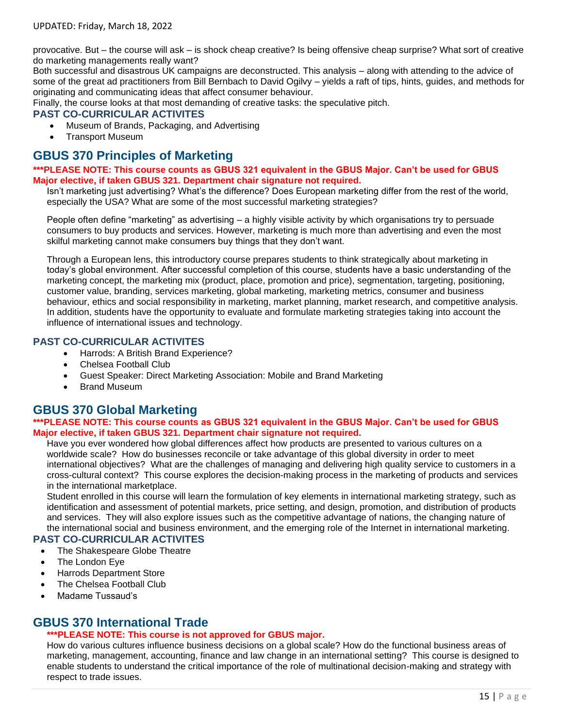provocative. But – the course will ask – is shock cheap creative? Is being offensive cheap surprise? What sort of creative do marketing managements really want?

Both successful and disastrous UK campaigns are deconstructed. This analysis – along with attending to the advice of some of the great ad practitioners from Bill Bernbach to David Ogilvy – yields a raft of tips, hints, guides, and methods for originating and communicating ideas that affect consumer behaviour.

Finally, the course looks at that most demanding of creative tasks: the speculative pitch.

#### **PAST CO-CURRICULAR ACTIVITES**

- Museum of Brands, Packaging, and Advertising
- Transport Museum

## **GBUS 370 Principles of Marketing**

#### **\*\*\*PLEASE NOTE: This course counts as GBUS 321 equivalent in the GBUS Major. Can't be used for GBUS Major elective, if taken GBUS 321. Department chair signature not required.**

Isn't marketing just advertising? What's the difference? Does European marketing differ from the rest of the world, especially the USA? What are some of the most successful marketing strategies?

People often define "marketing" as advertising – a highly visible activity by which organisations try to persuade consumers to buy products and services. However, marketing is much more than advertising and even the most skilful marketing cannot make consumers buy things that they don't want.

Through a European lens, this introductory course prepares students to think strategically about marketing in today's global environment. After successful completion of this course, students have a basic understanding of the marketing concept, the marketing mix (product, place, promotion and price), segmentation, targeting, positioning, customer value, branding, services marketing, global marketing, marketing metrics, consumer and business behaviour, ethics and social responsibility in marketing, market planning, market research, and competitive analysis. In addition, students have the opportunity to evaluate and formulate marketing strategies taking into account the influence of international issues and technology.

#### **PAST CO-CURRICULAR ACTIVITES**

- Harrods: A British Brand Experience?
- Chelsea Football Club
- Guest Speaker: Direct Marketing Association: Mobile and Brand Marketing
- Brand Museum

### **GBUS 370 Global Marketing**

#### **\*\*\*PLEASE NOTE: This course counts as GBUS 321 equivalent in the GBUS Major. Can't be used for GBUS Major elective, if taken GBUS 321. Department chair signature not required.**

Have you ever wondered how global differences affect how products are presented to various cultures on a worldwide scale? How do businesses reconcile or take advantage of this global diversity in order to meet international objectives? What are the challenges of managing and delivering high quality service to customers in a cross-cultural context? This course explores the decision-making process in the marketing of products and services in the international marketplace.

Student enrolled in this course will learn the formulation of key elements in international marketing strategy, such as identification and assessment of potential markets, price setting, and design, promotion, and distribution of products and services. They will also explore issues such as the competitive advantage of nations, the changing nature of the international social and business environment, and the emerging role of the Internet in international marketing.

#### **PAST CO-CURRICULAR ACTIVITES**

- The Shakespeare Globe Theatre
- The London Eye
- Harrods Department Store
- The Chelsea Football Club
- Madame Tussaud's

### **GBUS 370 International Trade**

#### **\*\*\*PLEASE NOTE: This course is not approved for GBUS major.**

How do various cultures influence business decisions on a global scale? How do the functional business areas of marketing, management, accounting, finance and law change in an international setting? This course is designed to enable students to understand the critical importance of the role of multinational decision-making and strategy with respect to trade issues.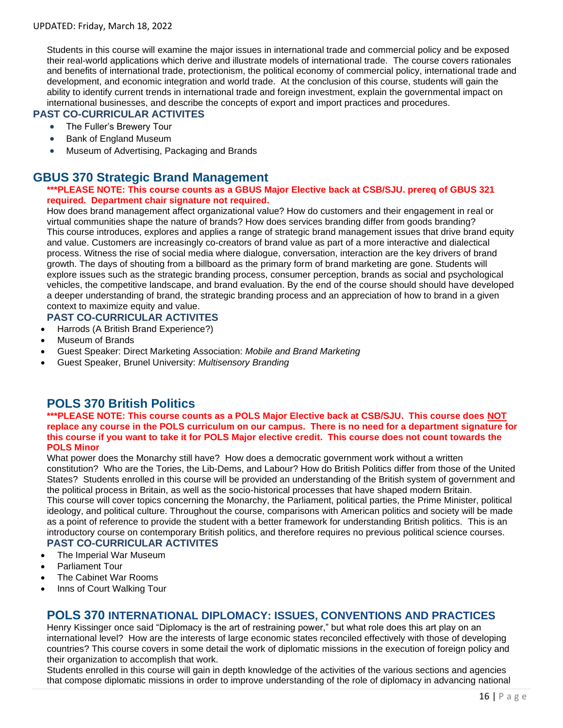Students in this course will examine the major issues in international trade and commercial policy and be exposed their real-world applications which derive and illustrate models of international trade. The course covers rationales and benefits of international trade, protectionism, the political economy of commercial policy, international trade and development, and economic integration and world trade. At the conclusion of this course, students will gain the ability to identify current trends in international trade and foreign investment, explain the governmental impact on international businesses, and describe the concepts of export and import practices and procedures.

#### **PAST CO-CURRICULAR ACTIVITES**

- The Fuller's Brewery Tour
- Bank of England Museum
- Museum of Advertising, Packaging and Brands

### **GBUS 370 Strategic Brand Management**

#### **\*\*\*PLEASE NOTE: This course counts as a GBUS Major Elective back at CSB/SJU. prereq of GBUS 321 required. Department chair signature not required.**

How does brand management affect organizational value? How do customers and their engagement in real or virtual communities shape the nature of brands? How does services branding differ from goods branding? This course introduces, explores and applies a range of strategic brand management issues that drive brand equity and value. Customers are increasingly co-creators of brand value as part of a more interactive and dialectical process. Witness the rise of social media where dialogue, conversation, interaction are the key drivers of brand growth. The days of shouting from a billboard as the primary form of brand marketing are gone. Students will explore issues such as the strategic branding process, consumer perception, brands as social and psychological vehicles, the competitive landscape, and brand evaluation. By the end of the course should should have developed a deeper understanding of brand, the strategic branding process and an appreciation of how to brand in a given context to maximize equity and value.

#### **PAST CO-CURRICULAR ACTIVITES**

- Harrods (A British Brand Experience?)
- Museum of Brands
- Guest Speaker: Direct Marketing Association: *Mobile and Brand Marketing*
- Guest Speaker, Brunel University: *Multisensory Branding*

## **POLS 370 British Politics**

#### **\*\*\*PLEASE NOTE: This course counts as a POLS Major Elective back at CSB/SJU. This course does NOT replace any course in the POLS curriculum on our campus. There is no need for a department signature for this course if you want to take it for POLS Major elective credit. This course does not count towards the POLS Minor**

What power does the Monarchy still have? How does a democratic government work without a written constitution? Who are the Tories, the Lib-Dems, and Labour? How do British Politics differ from those of the United States? Students enrolled in this course will be provided an understanding of the British system of government and the political process in Britain, as well as the socio-historical processes that have shaped modern Britain. This course will cover topics concerning the Monarchy, the Parliament, political parties, the Prime Minister, political ideology, and political culture. Throughout the course, comparisons with American politics and society will be made as a point of reference to provide the student with a better framework for understanding British politics. This is an introductory course on contemporary British politics, and therefore requires no previous political science courses.

#### **PAST CO-CURRICULAR ACTIVITES**

- The Imperial War Museum
- Parliament Tour
- The Cabinet War Rooms
- Inns of Court Walking Tour

#### **POLS 370 INTERNATIONAL DIPLOMACY: ISSUES, CONVENTIONS AND PRACTICES**

Henry Kissinger once said "Diplomacy is the art of restraining power," but what role does this art play on an international level? How are the interests of large economic states reconciled effectively with those of developing countries? This course covers in some detail the work of diplomatic missions in the execution of foreign policy and their organization to accomplish that work.

Students enrolled in this course will gain in depth knowledge of the activities of the various sections and agencies that compose diplomatic missions in order to improve understanding of the role of diplomacy in advancing national